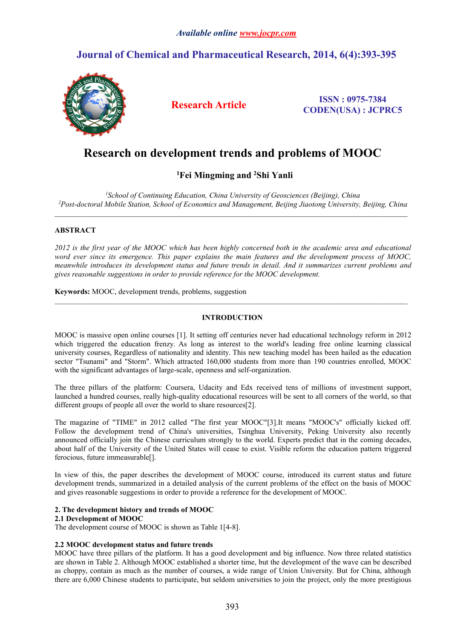## *Available online [www.jocpr.com](http://www.jocpr.com)*

## **Journal of Chemical and Pharmaceutical Research, 2014, 6(4):393-395**



**Research Article ISSN : 0975-7384 CODEN(USA) : JCPRC5**

# **Research on development trends and problems ofMOOC**

## **<sup>1</sup>Fei Mingming and <sup>2</sup>Shi Yanli**

*<sup>1</sup>School of Continuing Education, China University of Geosciences (Beijing), China <sup>2</sup>Post-doctoral Mobile Station, School of Economics and Management, Beijing Jiaotong University, Beijing, China*

## **ABSTRACT**

2012 is the first year of the MOOC which has been highly concerned both in the academic area and educational *word eversince its emergence. This paper explains the main features and the development process of MOOC, meanwhile introduces its development status and future trends in detail. And it summarizes current problems and gives reasonable suggestions in order to provide reference for the MOOC development.*

**Keywords:** MOOC, development trends, problems, suggestion

## **INTRODUCTION**

 $\_$  , and the state of the state of the state of the state of the state of the state of the state of the state of the state of the state of the state of the state of the state of the state of the state of the state of the

MOOC is massive open online courses [1]. It setting off centuries never had educational technology reform in 2012 which triggered the education frenzy. As long as interest to the world's leading free online learning classical university courses, Regardless of nationality and identity. This new teaching model has been hailed as the education sector "Tsunami" and "Storm". Which attracted 160,000 students from more than 190 countries enrolled, MOOC with the significant advantages of large-scale, openness and self-organization.

The three pillars of the platform: Coursera, Udacity and Edx received tensof millions of investment support, launched a hundred courses, really high-quality educational resources will be sent to all corners of the world, so that different groups of people all over the world to share resources[2].

The magazine of "TIME" in 2012 called "The first year MOOC"[3].It means "MOOC's" officially kicked off. Follow the development trend of China's universities, Tsinghua University, Peking University also recently announced officially join the Chinese curriculum strongly to the world. Experts predict that in the coming decades, about half of the University of the United States will cease to exist. Visible reform the education pattern triggered ferocious, future immeasurable[].

In view of this, the paper describes the development of MOOC course, introduced its current status and future development trends, summarized in a detailed analysis of the current problems of the effect on the basis of MOOC and gives reasonable suggestions in order to provide a reference for the development of MOOC.

## **2. The development history and trends ofMOOC**

## **2.1 Development of MOOC**

The development course of MOOC is shown as Table 1[4-8].

## **2.2 MOOC development status and future trends**

MOOC have three pillars of the platform. It has a good development and big influence. Now three related statistics are shown in Table 2. Although MOOC established a shorter time, but the development of the wave can be described as choppy, contain as much as the number of courses, a wide range of Union University.But for China, although there are 6,000 Chinese students to participate, but seldom universities to join the project, only the more prestigious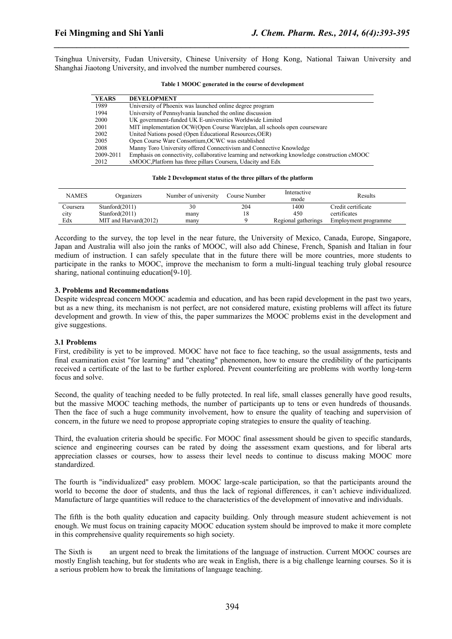Tsinghua University, Fudan University, Chinese University of Hong Kong, National Taiwan University and Shanghai Jiaotong University, and involved the number numbered courses.

*\_\_\_\_\_\_\_\_\_\_\_\_\_\_\_\_\_\_\_\_\_\_\_\_\_\_\_\_\_\_\_\_\_\_\_\_\_\_\_\_\_\_\_\_\_\_\_\_\_\_\_\_\_\_\_\_\_\_\_\_\_\_\_\_\_\_\_\_\_\_\_\_\_\_\_\_\_\_*

| <b>YEARS</b> | <b>DEVELOPMENT</b>                                                                           |
|--------------|----------------------------------------------------------------------------------------------|
| 1989         | University of Phoenix was launched online degree program                                     |
| 1994         | University of Pennsylvania launched the online discussion                                    |
| 2000         | UK government-funded UK E-universities Worldwide Limited                                     |
| 2001         | MIT implementation OCW(Open Course Ware)plan, all schools open courseware                    |
| 2002         | United Nations posed (Open Educational Resources, OER)                                       |
| 2005         | Open Course Ware Consortium, OCWC was established                                            |
| 2008         | Manny Toro University offered Connectivism and Connective Knowledge                          |
| 2009-2011    | Emphasis on connectivity, collaborative learning and networking knowledge construction cMOOC |
| 2012         | xMOOC, Platform has three pillars Coursera, Udacity and Edx                                  |

#### **Table 1 MOOC generated in the course of development**

#### **Table 2 Development status of the three pillars of the platform**

| <b>NAMES</b> | Organizers            | Number of university | Course Number | Interactive<br>mode | Results              |
|--------------|-----------------------|----------------------|---------------|---------------------|----------------------|
| Coursera     | Stanford(2011)        | 30                   | 204           | 1400                | Credit certificate   |
| city         | Stanford(2011)        | many                 |               | 450                 | certificates         |
| Edx          | MIT and Harvard(2012) | many                 |               | Regional gatherings | Employment programme |

According to the survey, the top level in the nearfuture, the University of Mexico, Canada, Europe, Singapore, Japan and Australia will also join the ranks of MOOC, will also add Chinese, French, Spanish and Italian in four medium of instruction. I can safely speculate that in the future there will be more countries, more students to participate in the ranks to MOOC, improve the mechanism to form a multi-lingual teaching truly global resource sharing, national continuing education[9-10].

### **3. Problems and Recommendations**

Despite widespread concern MOOC academia and education, and has been rapid development in the past two years, but as a new thing, its mechanism is not perfect, are not considered mature, existing problems will affect its future development and growth. In view of this, the paper summarizes the MOOC problems exist in the development and give suggestions.

### **3.1 Problems**

First, credibility is yet to be improved. MOOC have not face to face teaching, so the usual assignments, tests and final examination exist "for learning" and "cheating" phenomenon, how to ensure the credibility of the participants received a certificate of the last to be further explored. Prevent counterfeiting are problems with worthy long-term focus and solve.

Second, the quality of teaching needed to be fully protected. In real life, small classes generally have good results, but the massive MOOC teaching methods, the number of participants up to tens or even hundreds of thousands. Then the face of such a huge community involvement, how to ensure the quality of teaching and supervision of concern, in the future we need to propose appropriate coping strategies to ensure the quality of teaching.

Third, the evaluation criteria should be specific. For MOOC final assessment should be given to specific standards, science and engineering courses can be rated by doing the assessment exam questions, and for liberal arts appreciation classes or courses, how to assess their level needs to continue to discuss making MOOC more standardized.

The fourth is "individualized" easy problem. MOOC large-scale participation, so that the participants around the world to become the door of students, and thus the lack of regional differences, it can't achieve individualized. Manufacture of large quantities will reduce to the characteristics of the development of innovative and individuals.

The fifth is the both quality education and capacity building. Only through measure student achievement is not enough. We must focus on training capacity MOOC education system should be improved to make it more complete in this comprehensive quality requirements so high society.

The Sixth is an urgent need to break the limitations of the language of instruction. Current MOOC courses are mostly English teaching, but for students who are weak in English, there is a big challenge learning courses. So it is a serious problem how to break the limitations of language teaching.